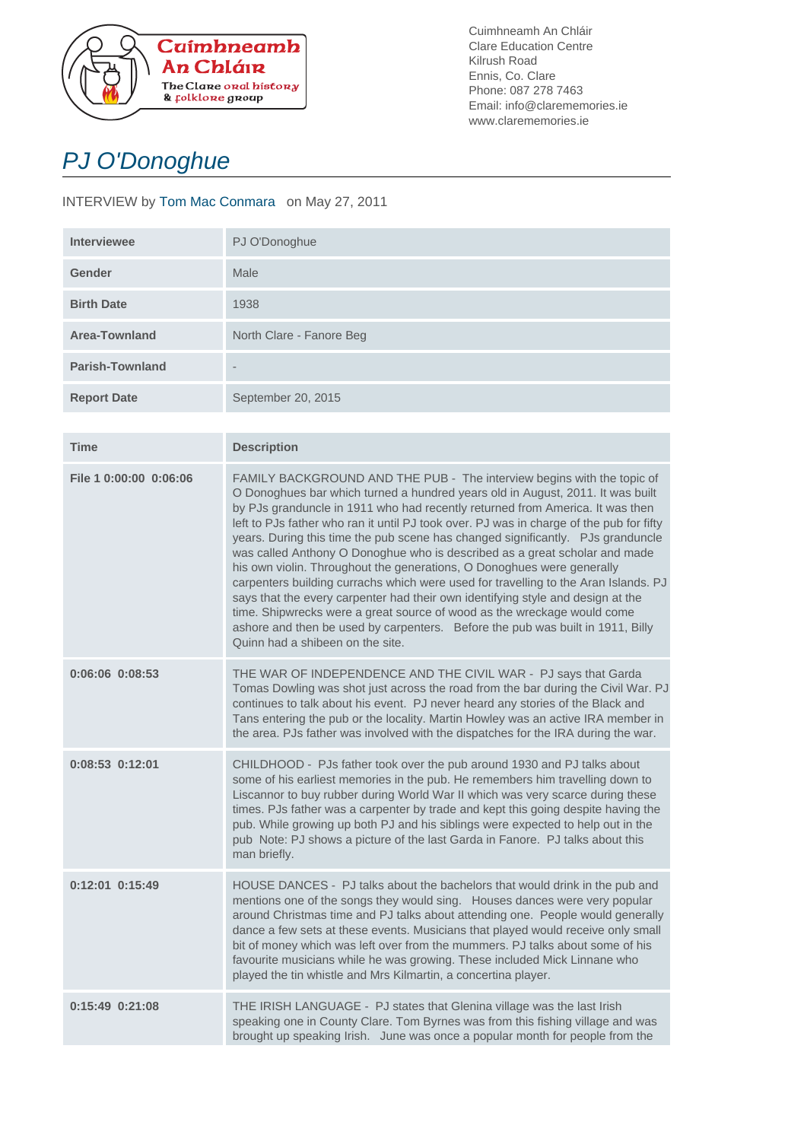

Cuimhneamh An Chláir Clare Education Centre Kilrush Road Ennis, Co. Clare Phone: 087 278 7463 Email: info@clarememories.ie www.clarememories.ie

## PJ O'Donoghue

## INTERVIEW by Tom Mac Conmara on May 27, 2011

| <b>Interviewee</b>     | PJ O'Donoghue            |
|------------------------|--------------------------|
| <b>Gender</b>          | Male                     |
| <b>Birth Date</b>      | 1938                     |
| Area-Townland          | North Clare - Fanore Beg |
| <b>Parish-Townland</b> | $\qquad \qquad$          |
| <b>Report Date</b>     | September 20, 2015       |

| <b>Time</b>            | <b>Description</b>                                                                                                                                                                                                                                                                                                                                                                                                                                                                                                                                                                                                                                                                                                                                                                                                                                                                                                                                         |
|------------------------|------------------------------------------------------------------------------------------------------------------------------------------------------------------------------------------------------------------------------------------------------------------------------------------------------------------------------------------------------------------------------------------------------------------------------------------------------------------------------------------------------------------------------------------------------------------------------------------------------------------------------------------------------------------------------------------------------------------------------------------------------------------------------------------------------------------------------------------------------------------------------------------------------------------------------------------------------------|
| File 1 0:00:00 0:06:06 | FAMILY BACKGROUND AND THE PUB - The interview begins with the topic of<br>O Donoghues bar which turned a hundred years old in August, 2011. It was built<br>by PJs granduncle in 1911 who had recently returned from America. It was then<br>left to PJs father who ran it until PJ took over. PJ was in charge of the pub for fifty<br>years. During this time the pub scene has changed significantly. PJs granduncle<br>was called Anthony O Donoghue who is described as a great scholar and made<br>his own violin. Throughout the generations, O Donoghues were generally<br>carpenters building currachs which were used for travelling to the Aran Islands. PJ<br>says that the every carpenter had their own identifying style and design at the<br>time. Shipwrecks were a great source of wood as the wreckage would come<br>ashore and then be used by carpenters. Before the pub was built in 1911, Billy<br>Quinn had a shibeen on the site. |
| $0:06:06$ $0:08:53$    | THE WAR OF INDEPENDENCE AND THE CIVIL WAR - PJ says that Garda<br>Tomas Dowling was shot just across the road from the bar during the Civil War. PJ<br>continues to talk about his event. PJ never heard any stories of the Black and<br>Tans entering the pub or the locality. Martin Howley was an active IRA member in<br>the area. PJs father was involved with the dispatches for the IRA during the war.                                                                                                                                                                                                                                                                                                                                                                                                                                                                                                                                             |
| $0:08:53$ $0:12:01$    | CHILDHOOD - PJs father took over the pub around 1930 and PJ talks about<br>some of his earliest memories in the pub. He remembers him travelling down to<br>Liscannor to buy rubber during World War II which was very scarce during these<br>times. PJs father was a carpenter by trade and kept this going despite having the<br>pub. While growing up both PJ and his siblings were expected to help out in the<br>pub Note: PJ shows a picture of the last Garda in Fanore. PJ talks about this<br>man briefly.                                                                                                                                                                                                                                                                                                                                                                                                                                        |
| $0:12:01$ $0:15:49$    | HOUSE DANCES - PJ talks about the bachelors that would drink in the pub and<br>mentions one of the songs they would sing. Houses dances were very popular<br>around Christmas time and PJ talks about attending one. People would generally<br>dance a few sets at these events. Musicians that played would receive only small<br>bit of money which was left over from the mummers. PJ talks about some of his<br>favourite musicians while he was growing. These included Mick Linnane who<br>played the tin whistle and Mrs Kilmartin, a concertina player.                                                                                                                                                                                                                                                                                                                                                                                            |
| $0:15:49$ $0:21:08$    | THE IRISH LANGUAGE - PJ states that Glenina village was the last Irish<br>speaking one in County Clare. Tom Byrnes was from this fishing village and was<br>brought up speaking Irish. June was once a popular month for people from the                                                                                                                                                                                                                                                                                                                                                                                                                                                                                                                                                                                                                                                                                                                   |